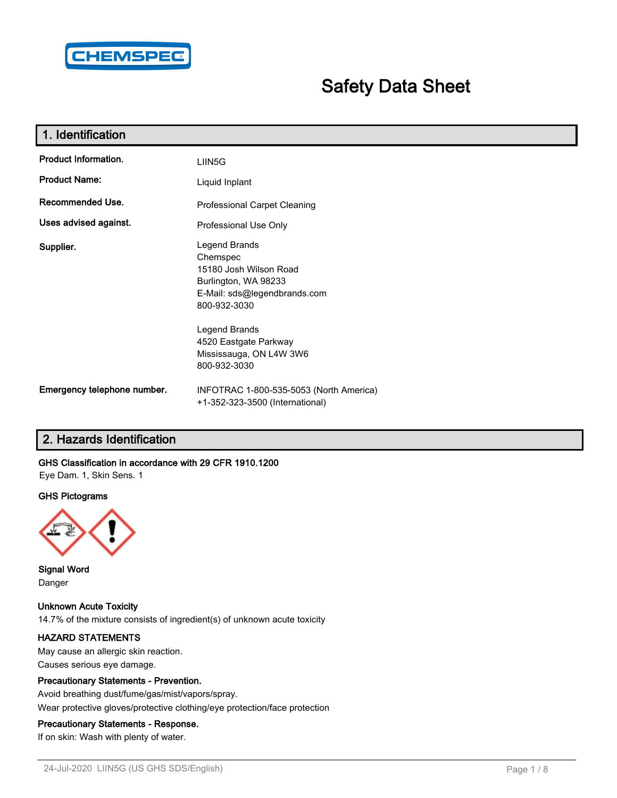

# **Safety Data Sheet**

| 1. Identification           |                                                                                                                             |
|-----------------------------|-----------------------------------------------------------------------------------------------------------------------------|
| Product Information.        | LIIN5G                                                                                                                      |
| <b>Product Name:</b>        | Liquid Inplant                                                                                                              |
| Recommended Use.            | Professional Carpet Cleaning                                                                                                |
| Uses advised against.       | Professional Use Only                                                                                                       |
| Supplier.                   | Legend Brands<br>Chemspec<br>15180 Josh Wilson Road<br>Burlington, WA 98233<br>E-Mail: sds@legendbrands.com<br>800-932-3030 |
|                             | Legend Brands<br>4520 Eastgate Parkway<br>Mississauga, ON L4W 3W6<br>800-932-3030                                           |
| Emergency telephone number. | INFOTRAC 1-800-535-5053 (North America)<br>+1-352-323-3500 (International)                                                  |

## **2. Hazards Identification**

## **GHS Classification in accordance with 29 CFR 1910.1200**

Eye Dam. 1, Skin Sens. 1

#### **GHS Pictograms**



**Signal Word** Danger

**Unknown Acute Toxicity** 14.7% of the mixture consists of ingredient(s) of unknown acute toxicity

#### **HAZARD STATEMENTS**

May cause an allergic skin reaction. Causes serious eye damage.

#### **Precautionary Statements - Prevention.**

Avoid breathing dust/fume/gas/mist/vapors/spray. Wear protective gloves/protective clothing/eye protection/face protection

## **Precautionary Statements - Response.**

If on skin: Wash with plenty of water.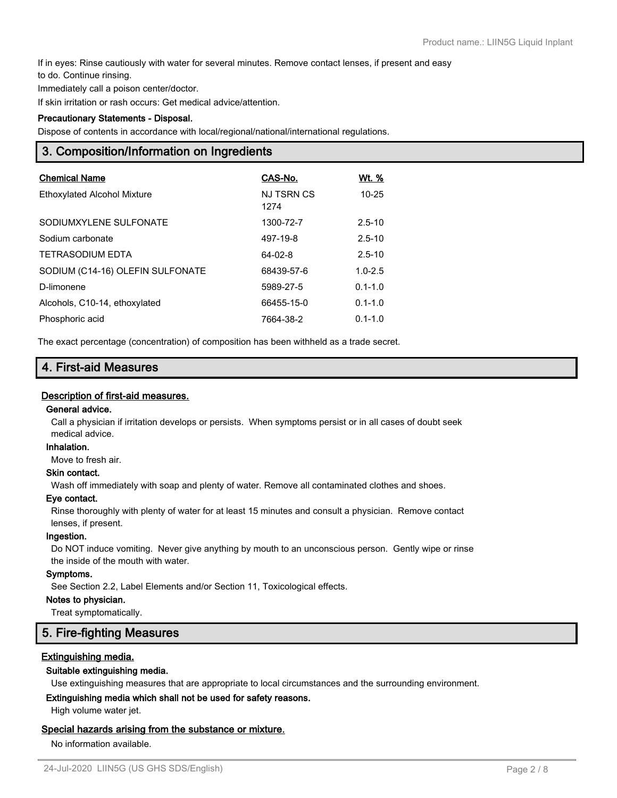If in eyes: Rinse cautiously with water for several minutes. Remove contact lenses, if present and easy

to do. Continue rinsing.

Immediately call a poison center/doctor.

If skin irritation or rash occurs: Get medical advice/attention.

#### **Precautionary Statements - Disposal.**

Dispose of contents in accordance with local/regional/national/international regulations.

## **3. Composition/Information on Ingredients**

| <b>Chemical Name</b>               | CAS-No.                   | Wt. %       |
|------------------------------------|---------------------------|-------------|
| <b>Ethoxylated Alcohol Mixture</b> | <b>NJ TSRN CS</b><br>1274 | $10 - 25$   |
| SODIUMXYLENE SULFONATE             | 1300-72-7                 | $2.5 - 10$  |
| Sodium carbonate                   | 497-19-8                  | $2.5 - 10$  |
| <b>TETRASODIUM EDTA</b>            | $64 - 02 - 8$             | $2.5 - 10$  |
| SODIUM (C14-16) OLEFIN SULFONATE   | 68439-57-6                | $1.0 - 2.5$ |
| D-limonene                         | 5989-27-5                 | $0.1 - 1.0$ |
| Alcohols, C10-14, ethoxylated      | 66455-15-0                | $0.1 - 1.0$ |
| Phosphoric acid                    | 7664-38-2                 | $0.1 - 1.0$ |

The exact percentage (concentration) of composition has been withheld as a trade secret.

## **4. First-aid Measures**

#### **Description of first-aid measures.**

#### **General advice.**

Call a physician if irritation develops or persists. When symptoms persist or in all cases of doubt seek medical advice.

#### **Inhalation.**

Move to fresh air.

#### **Skin contact.**

Wash off immediately with soap and plenty of water. Remove all contaminated clothes and shoes.

#### **Eye contact.**

Rinse thoroughly with plenty of water for at least 15 minutes and consult a physician. Remove contact lenses, if present.

#### **Ingestion.**

Do NOT induce vomiting. Never give anything by mouth to an unconscious person. Gently wipe or rinse the inside of the mouth with water.

#### **Symptoms.**

See Section 2.2, Label Elements and/or Section 11, Toxicological effects.

#### **Notes to physician.**

Treat symptomatically.

## **5. Fire-fighting Measures**

#### **Extinguishing media.**

#### **Suitable extinguishing media.**

Use extinguishing measures that are appropriate to local circumstances and the surrounding environment.

#### **Extinguishing media which shall not be used for safety reasons.**

High volume water jet.

#### **Special hazards arising from the substance or mixture.**

No information available.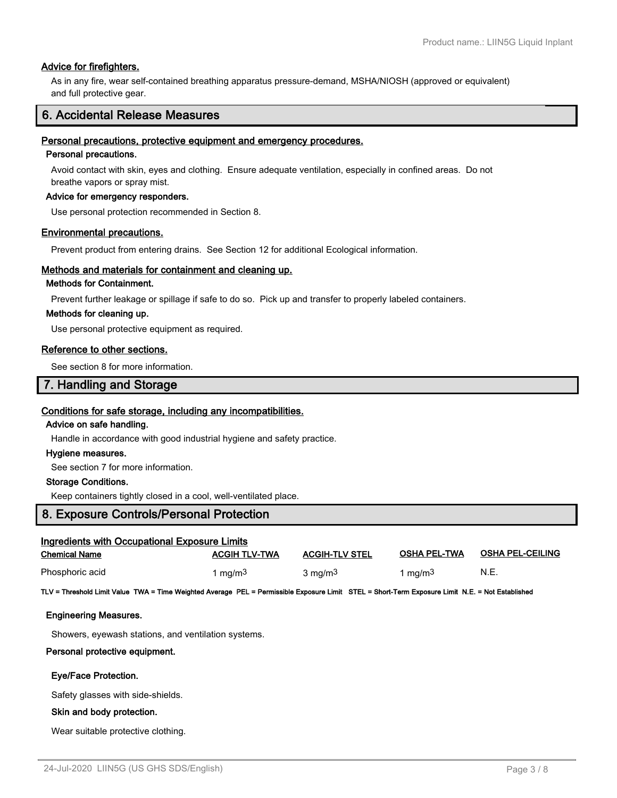#### **Advice for firefighters.**

As in any fire, wear self-contained breathing apparatus pressure-demand, MSHA/NIOSH (approved or equivalent) and full protective gear.

## **6. Accidental Release Measures**

#### **Personal precautions, protective equipment and emergency procedures.**

#### **Personal precautions.**

Avoid contact with skin, eyes and clothing. Ensure adequate ventilation, especially in confined areas. Do not breathe vapors or spray mist.

#### **Advice for emergency responders.**

Use personal protection recommended in Section 8.

#### **Environmental precautions.**

Prevent product from entering drains. See Section 12 for additional Ecological information.

#### **Methods and materials for containment and cleaning up.**

#### **Methods for Containment.**

Prevent further leakage or spillage if safe to do so. Pick up and transfer to properly labeled containers.

#### **Methods for cleaning up.**

Use personal protective equipment as required.

#### **Reference to other sections.**

See section 8 for more information.

## **7. Handling and Storage**

#### **Conditions for safe storage, including any incompatibilities.**

#### **Advice on safe handling.**

Handle in accordance with good industrial hygiene and safety practice.

#### **Hygiene measures.**

See section 7 for more information.

#### **Storage Conditions.**

Keep containers tightly closed in a cool, well-ventilated place.

## **8. Exposure Controls/Personal Protection**

| <b>Ingredients with Occupational Exposure Limits</b> |                      |                       |                     |                         |  |  |
|------------------------------------------------------|----------------------|-----------------------|---------------------|-------------------------|--|--|
| <b>Chemical Name</b>                                 | <b>ACGIH TLV-TWA</b> | <b>ACGIH-TLV STEL</b> | <b>OSHA PEL-TWA</b> | <b>OSHA PEL-CEILING</b> |  |  |
| Phosphoric acid                                      | 1 ma/m <sup>3</sup>  | $3 \text{ mg/m}^3$    | 1 mg/m <sup>3</sup> | N.E.                    |  |  |

**TLV = Threshold Limit Value TWA = Time Weighted Average PEL = Permissible Exposure Limit STEL = Short-Term Exposure Limit N.E. = Not Established**

#### **Engineering Measures.**

Showers, eyewash stations, and ventilation systems.

#### **Personal protective equipment.**

#### **Eye/Face Protection.**

Safety glasses with side-shields.

#### **Skin and body protection.**

Wear suitable protective clothing.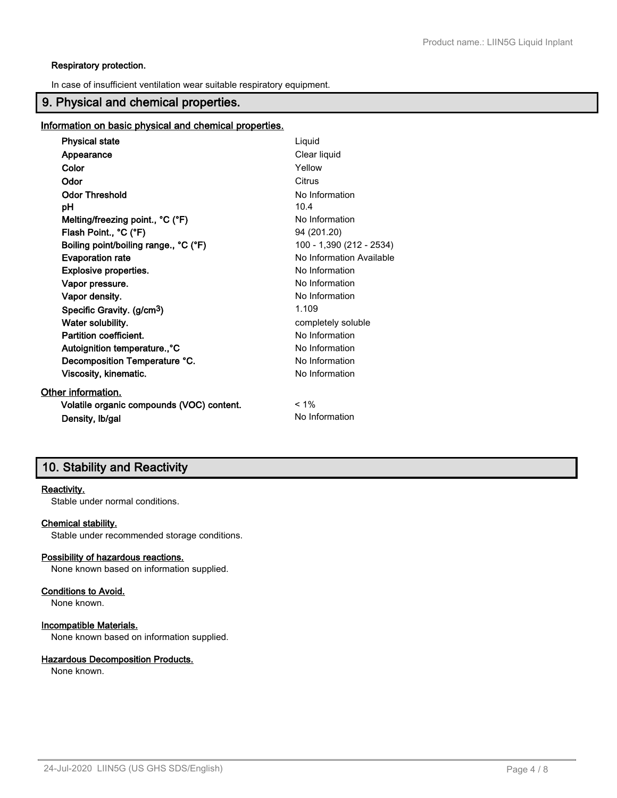#### **Respiratory protection.**

In case of insufficient ventilation wear suitable respiratory equipment.

## **9. Physical and chemical properties.**

#### **Information on basic physical and chemical properties.**

| <b>Physical state</b>                     | Liquid                   |
|-------------------------------------------|--------------------------|
| Appearance                                | Clear liquid             |
| Color                                     | Yellow                   |
| Odor                                      | Citrus                   |
| <b>Odor Threshold</b>                     | No Information           |
| рH                                        | 10.4                     |
| Melting/freezing point., °C (°F)          | No Information           |
| Flash Point., °C (°F)                     | 94 (201.20)              |
| Boiling point/boiling range., °C (°F)     | 100 - 1,390 (212 - 2534) |
| <b>Evaporation rate</b>                   | No Information Available |
| <b>Explosive properties.</b>              | No Information           |
| Vapor pressure.                           | No Information           |
| Vapor density.                            | No Information           |
| Specific Gravity. (g/cm <sup>3</sup> )    | 1.109                    |
| Water solubility.                         | completely soluble       |
| Partition coefficient.                    | No Information           |
| Autoignition temperature., °C             | No Information           |
| Decomposition Temperature °C.             | No Information           |
| Viscosity, kinematic.                     | No Information           |
| Other information.                        |                          |
| Volatile organic compounds (VOC) content. | $< 1\%$                  |
| Density, Ib/gal                           | No Information           |

## **10. Stability and Reactivity**

## **Reactivity.**

Stable under normal conditions.

#### **Chemical stability.**

Stable under recommended storage conditions.

#### **Possibility of hazardous reactions.**

None known based on information supplied.

#### **Conditions to Avoid.**

None known.

#### **Incompatible Materials.**

None known based on information supplied.

#### **Hazardous Decomposition Products.**

None known.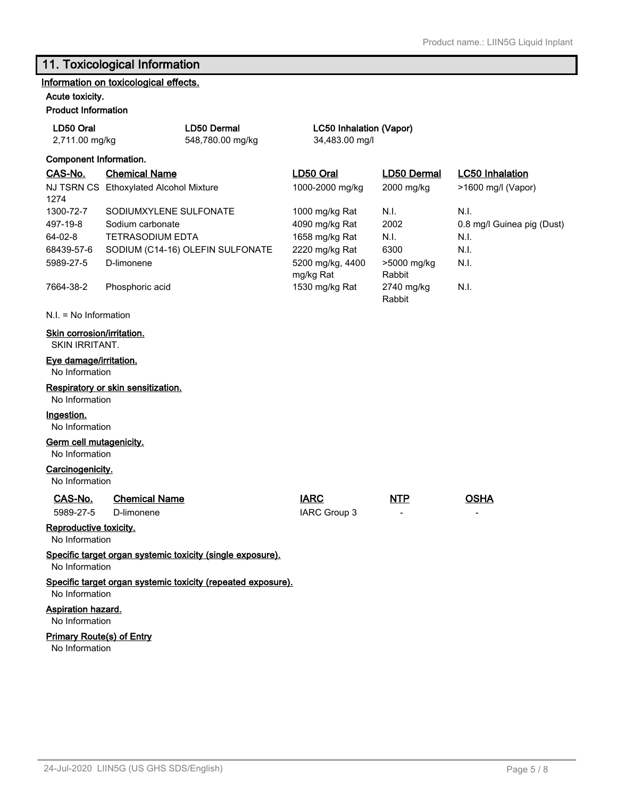# **11. Toxicological Information**

## **Information on toxicological effects.**

#### **Acute toxicity. Product Information**

| Proguet information                                 |                                        |                                                              |                               |                       |                            |
|-----------------------------------------------------|----------------------------------------|--------------------------------------------------------------|-------------------------------|-----------------------|----------------------------|
| LD50 Oral                                           |                                        | LD50 Dermal<br>LC50 Inhalation (Vapor)                       |                               |                       |                            |
| 2,711.00 mg/kg                                      |                                        | 548,780.00 mg/kg                                             | 34,483.00 mg/l                |                       |                            |
| Component Information.                              |                                        |                                                              |                               |                       |                            |
| CAS-No.                                             | <b>Chemical Name</b>                   |                                                              | LD50 Oral                     | <b>LD50 Dermal</b>    | <b>LC50 Inhalation</b>     |
| 1274                                                | NJ TSRN CS Ethoxylated Alcohol Mixture |                                                              | 1000-2000 mg/kg               | 2000 mg/kg            | >1600 mg/l (Vapor)         |
| 1300-72-7                                           | SODIUMXYLENE SULFONATE                 |                                                              | 1000 mg/kg Rat                | N.I.                  | N.I.                       |
| 497-19-8                                            | Sodium carbonate                       |                                                              | 4090 mg/kg Rat                | 2002                  | 0.8 mg/l Guinea pig (Dust) |
| 64-02-8                                             | <b>TETRASODIUM EDTA</b>                |                                                              | 1658 mg/kg Rat                | N.I.                  | N.I.                       |
| 68439-57-6                                          |                                        | SODIUM (C14-16) OLEFIN SULFONATE                             | 2220 mg/kg Rat                | 6300                  | N.I.                       |
| 5989-27-5                                           | D-limonene                             |                                                              | 5200 mg/kg, 4400<br>mg/kg Rat | >5000 mg/kg<br>Rabbit | N.I.                       |
| 7664-38-2                                           | Phosphoric acid                        |                                                              | 1530 mg/kg Rat                | 2740 mg/kg<br>Rabbit  | N.I.                       |
| $N.I. = No Information$                             |                                        |                                                              |                               |                       |                            |
| Skin corrosion/irritation.<br><b>SKIN IRRITANT.</b> |                                        |                                                              |                               |                       |                            |
| Eye damage/irritation.<br>No Information            |                                        |                                                              |                               |                       |                            |
| No Information                                      | Respiratory or skin sensitization.     |                                                              |                               |                       |                            |
| Ingestion.<br>No Information                        |                                        |                                                              |                               |                       |                            |
| Germ cell mutagenicity.<br>No Information           |                                        |                                                              |                               |                       |                            |
| Carcinogenicity.<br>No Information                  |                                        |                                                              |                               |                       |                            |
| CAS-No.<br>5989-27-5                                | <b>Chemical Name</b><br>D-limonene     |                                                              | <b>IARC</b><br>IARC Group 3   | <b>NTP</b>            | <b>OSHA</b>                |
| Reproductive toxicity.<br>No Information            |                                        |                                                              |                               |                       |                            |
| No Information                                      |                                        | Specific target organ systemic toxicity (single exposure).   |                               |                       |                            |
| No Information                                      |                                        | Specific target organ systemic toxicity (repeated exposure). |                               |                       |                            |
| Aspiration hazard.<br>No Information                |                                        |                                                              |                               |                       |                            |

### **Primary Route(s) of Entry**

No Information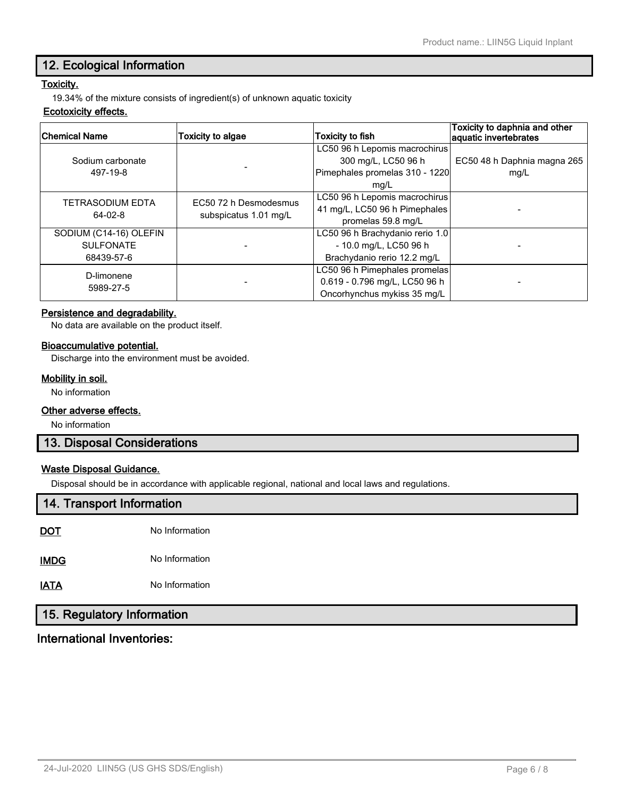## **12. Ecological Information**

## **Toxicity.**

19.34% of the mixture consists of ingredient(s) of unknown aquatic toxicity

#### **Ecotoxicity effects.**

| <b>Chemical Name</b>    | <b>Toxicity to algae</b> | <b>Toxicity to fish</b>         | Toxicity to daphnia and other<br>aquatic invertebrates |
|-------------------------|--------------------------|---------------------------------|--------------------------------------------------------|
|                         |                          | LC50 96 h Lepomis macrochirus   |                                                        |
| Sodium carbonate        |                          | 300 mg/L, LC50 96 h             | EC50 48 h Daphnia magna 265                            |
| 497-19-8                |                          | Pimephales promelas 310 - 1220  | mg/L                                                   |
|                         |                          | mg/L                            |                                                        |
| <b>TETRASODIUM EDTA</b> | EC50 72 h Desmodesmus    | LC50 96 h Lepomis macrochirus   |                                                        |
| 64-02-8                 | subspicatus 1.01 mg/L    | 41 mg/L, LC50 96 h Pimephales   |                                                        |
|                         |                          | promelas 59.8 mg/L              |                                                        |
| SODIUM (C14-16) OLEFIN  |                          | LC50 96 h Brachydanio rerio 1.0 |                                                        |
| <b>SULFONATE</b>        |                          | - 10.0 mg/L, LC50 96 h          |                                                        |
| 68439-57-6              |                          | Brachydanio rerio 12.2 mg/L     |                                                        |
| D-limonene              |                          | LC50 96 h Pimephales promelas   |                                                        |
|                         |                          | 0.619 - 0.796 mg/L, LC50 96 h   |                                                        |
| 5989-27-5               |                          | Oncorhynchus mykiss 35 mg/L     |                                                        |

#### **Persistence and degradability.**

No data are available on the product itself.

#### **Bioaccumulative potential.**

Discharge into the environment must be avoided.

## **Mobility in soil.**

No information

## **Other adverse effects.**

No information

## **13. Disposal Considerations**

## **Waste Disposal Guidance.**

Disposal should be in accordance with applicable regional, national and local laws and regulations.

## **14. Transport Information**

| DOT | No Information |
|-----|----------------|
|     |                |

**IMDG** No Information

**IATA** No Information

## **15. Regulatory Information**

## **International Inventories:**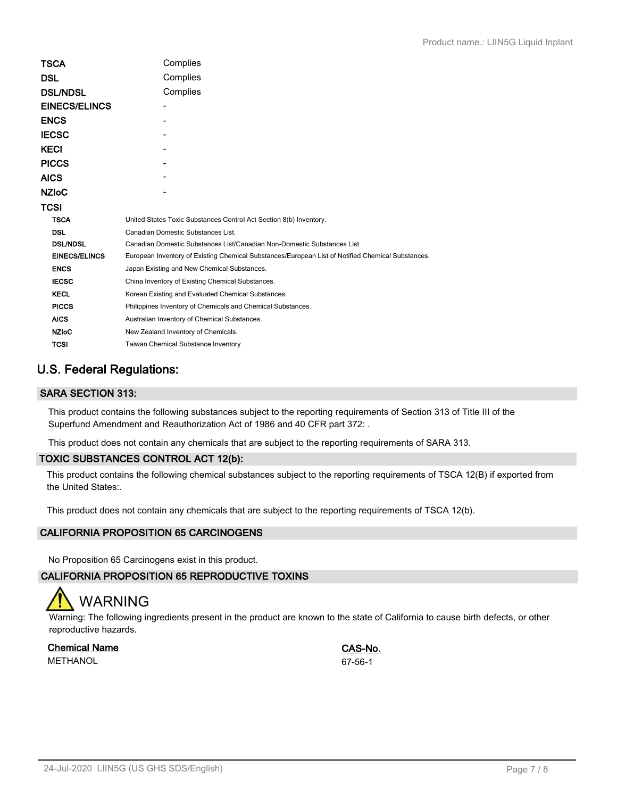| TSCA                 | Complies                                                                                          |  |  |
|----------------------|---------------------------------------------------------------------------------------------------|--|--|
| DSL                  | Complies                                                                                          |  |  |
| <b>DSL/NDSL</b>      | Complies                                                                                          |  |  |
| <b>EINECS/ELINCS</b> |                                                                                                   |  |  |
| <b>ENCS</b>          |                                                                                                   |  |  |
| <b>IECSC</b>         |                                                                                                   |  |  |
| KECI                 |                                                                                                   |  |  |
| <b>PICCS</b>         |                                                                                                   |  |  |
| AICS                 |                                                                                                   |  |  |
| <b>NZIoC</b>         |                                                                                                   |  |  |
| TCSI                 |                                                                                                   |  |  |
| <b>TSCA</b>          | United States Toxic Substances Control Act Section 8(b) Inventory.                                |  |  |
| <b>DSL</b>           | Canadian Domestic Substances List.                                                                |  |  |
| <b>DSL/NDSL</b>      | Canadian Domestic Substances List/Canadian Non-Domestic Substances List                           |  |  |
| <b>EINECS/ELINCS</b> | European Inventory of Existing Chemical Substances/European List of Notified Chemical Substances. |  |  |
| <b>ENCS</b>          | Japan Existing and New Chemical Substances.                                                       |  |  |
| <b>IECSC</b>         | China Inventory of Existing Chemical Substances.                                                  |  |  |
| <b>KECL</b>          | Korean Existing and Evaluated Chemical Substances.                                                |  |  |
| <b>PICCS</b>         | Philippines Inventory of Chemicals and Chemical Substances.                                       |  |  |
| <b>AICS</b>          | Australian Inventory of Chemical Substances.                                                      |  |  |
| <b>NZIoC</b>         | New Zealand Inventory of Chemicals.                                                               |  |  |
| <b>TCSI</b>          | Taiwan Chemical Substance Inventory                                                               |  |  |

## **U.S. Federal Regulations:**

## **SARA SECTION 313:**

This product contains the following substances subject to the reporting requirements of Section 313 of Title III of the Superfund Amendment and Reauthorization Act of 1986 and 40 CFR part 372: .

This product does not contain any chemicals that are subject to the reporting requirements of SARA 313.

## **TOXIC SUBSTANCES CONTROL ACT 12(b):**

This product contains the following chemical substances subject to the reporting requirements of TSCA 12(B) if exported from the United States:.

This product does not contain any chemicals that are subject to the reporting requirements of TSCA 12(b).

## **CALIFORNIA PROPOSITION 65 CARCINOGENS**

No Proposition 65 Carcinogens exist in this product.

## **CALIFORNIA PROPOSITION 65 REPRODUCTIVE TOXINS**



Warning: The following ingredients present in the product are known to the state of California to cause birth defects, or other reproductive hazards.

**Chemical Name CAS-No.** METHANOL 67-56-1